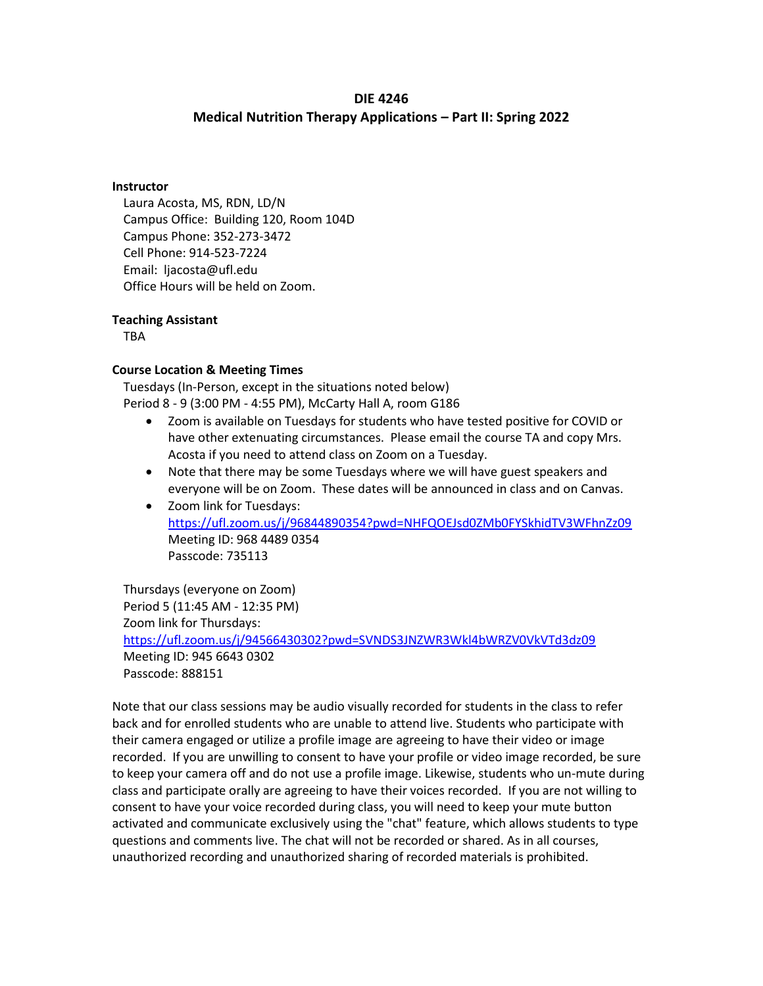# **DIE 4246 Medical Nutrition Therapy Applications – Part II: Spring 2022**

#### **Instructor**

Laura Acosta, MS, RDN, LD/N Campus Office: Building 120, Room 104D Campus Phone: 352-273-3472 Cell Phone: 914-523-7224 Email: ljacosta@ufl.edu Office Hours will be held on Zoom.

#### **Teaching Assistant**

TBA

## **Course Location & Meeting Times**

Tuesdays (In-Person, except in the situations noted below) Period 8 - 9 (3:00 PM - 4:55 PM), McCarty Hall A, room G186

- Zoom is available on Tuesdays for students who have tested positive for COVID or have other extenuating circumstances. Please email the course TA and copy Mrs. Acosta if you need to attend class on Zoom on a Tuesday.
- Note that there may be some Tuesdays where we will have guest speakers and everyone will be on Zoom. These dates will be announced in class and on Canvas.
- Zoom link for Tuesdays: <https://ufl.zoom.us/j/96844890354?pwd=NHFQOEJsd0ZMb0FYSkhidTV3WFhnZz09> Meeting ID: 968 4489 0354 Passcode: 735113

Thursdays (everyone on Zoom) Period 5 (11:45 AM - 12:35 PM) Zoom link for Thursdays: <https://ufl.zoom.us/j/94566430302?pwd=SVNDS3JNZWR3Wkl4bWRZV0VkVTd3dz09> Meeting ID: 945 6643 0302 Passcode: 888151

Note that our class sessions may be audio visually recorded for students in the class to refer back and for enrolled students who are unable to attend live. Students who participate with their camera engaged or utilize a profile image are agreeing to have their video or image recorded. If you are unwilling to consent to have your profile or video image recorded, be sure to keep your camera off and do not use a profile image. Likewise, students who un-mute during class and participate orally are agreeing to have their voices recorded. If you are not willing to consent to have your voice recorded during class, you will need to keep your mute button activated and communicate exclusively using the "chat" feature, which allows students to type questions and comments live. The chat will not be recorded or shared. As in all courses, unauthorized recording and unauthorized sharing of recorded materials is prohibited.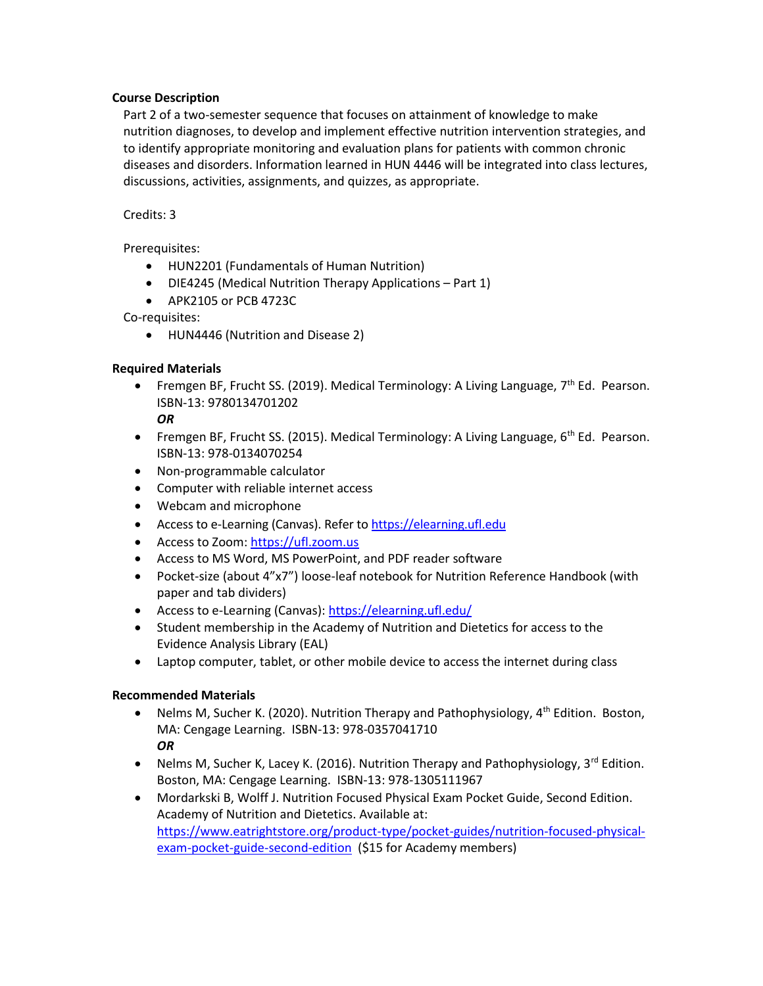## **Course Description**

Part 2 of a two-semester sequence that focuses on attainment of knowledge to make nutrition diagnoses, to develop and implement effective nutrition intervention strategies, and to identify appropriate monitoring and evaluation plans for patients with common chronic diseases and disorders. Information learned in HUN 4446 will be integrated into class lectures, discussions, activities, assignments, and quizzes, as appropriate.

## Credits: 3

Prerequisites:

- HUN2201 (Fundamentals of Human Nutrition)
- DIE4245 (Medical Nutrition Therapy Applications Part 1)
- APK2105 or PCB 4723C

Co-requisites:

HUN4446 (Nutrition and Disease 2)

## **Required Materials**

- Fremgen BF, Frucht SS. (2019). Medical Terminology: A Living Language, 7<sup>th</sup> Ed. Pearson. ISBN-13: 9780134701202
	- *OR*
- Fremgen BF, Frucht SS. (2015). Medical Terminology: A Living Language,  $6<sup>th</sup>$  Ed. Pearson. ISBN-13: 978-0134070254
- Non-programmable calculator
- Computer with reliable internet access
- Webcam and microphone
- Access to e-Learning (Canvas). Refer to [https://elearning.ufl.edu](https://elearning.ufl.edu/)
- Access to Zoom: https://ufl.zoom.us
- Access to MS Word, MS PowerPoint, and PDF reader software
- Pocket-size (about 4"x7") loose-leaf notebook for Nutrition Reference Handbook (with paper and tab dividers)
- Access to e-Learning (Canvas)[: https://elearning.ufl.edu/](https://elearning.ufl.edu/)
- Student membership in the Academy of Nutrition and Dietetics for access to the Evidence Analysis Library (EAL)
- Laptop computer, tablet, or other mobile device to access the internet during class

## **Recommended Materials**

- Nelms M, Sucher K. (2020). Nutrition Therapy and Pathophysiology, 4<sup>th</sup> Edition. Boston, MA: Cengage Learning. ISBN-13: 978-0357041710 *OR*
- Nelms M, Sucher K, Lacey K. (2016). Nutrition Therapy and Pathophysiology,  $3^{rd}$  Edition. Boston, MA: Cengage Learning. ISBN-13: 978-1305111967
- Mordarkski B, Wolff J. Nutrition Focused Physical Exam Pocket Guide, Second Edition. Academy of Nutrition and Dietetics. Available at: [https://www.eatrightstore.org/product-type/pocket-guides/nutrition-focused-physical](https://www.eatrightstore.org/product-type/pocket-guides/nutrition-focused-physical-exam-pocket-guide-second-edition)[exam-pocket-guide-second-edition](https://www.eatrightstore.org/product-type/pocket-guides/nutrition-focused-physical-exam-pocket-guide-second-edition) (\$15 for Academy members)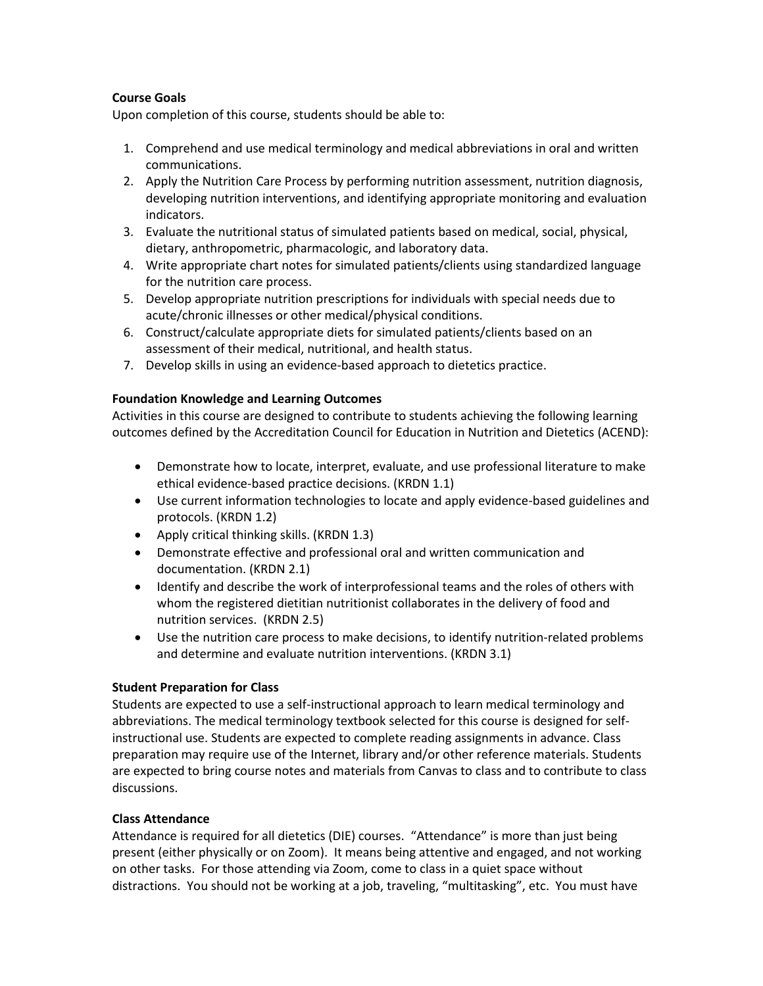## **Course Goals**

Upon completion of this course, students should be able to:

- 1. Comprehend and use medical terminology and medical abbreviations in oral and written communications.
- 2. Apply the Nutrition Care Process by performing nutrition assessment, nutrition diagnosis, developing nutrition interventions, and identifying appropriate monitoring and evaluation indicators.
- 3. Evaluate the nutritional status of simulated patients based on medical, social, physical, dietary, anthropometric, pharmacologic, and laboratory data.
- 4. Write appropriate chart notes for simulated patients/clients using standardized language for the nutrition care process.
- 5. Develop appropriate nutrition prescriptions for individuals with special needs due to acute/chronic illnesses or other medical/physical conditions.
- 6. Construct/calculate appropriate diets for simulated patients/clients based on an assessment of their medical, nutritional, and health status.
- 7. Develop skills in using an evidence-based approach to dietetics practice.

## **Foundation Knowledge and Learning Outcomes**

Activities in this course are designed to contribute to students achieving the following learning outcomes defined by the Accreditation Council for Education in Nutrition and Dietetics (ACEND):

- Demonstrate how to locate, interpret, evaluate, and use professional literature to make ethical evidence-based practice decisions. (KRDN 1.1)
- Use current information technologies to locate and apply evidence-based guidelines and protocols. (KRDN 1.2)
- Apply critical thinking skills. (KRDN 1.3)
- Demonstrate effective and professional oral and written communication and documentation. (KRDN 2.1)
- Identify and describe the work of interprofessional teams and the roles of others with whom the registered dietitian nutritionist collaborates in the delivery of food and nutrition services. (KRDN 2.5)
- Use the nutrition care process to make decisions, to identify nutrition-related problems and determine and evaluate nutrition interventions. (KRDN 3.1)

## **Student Preparation for Class**

Students are expected to use a self-instructional approach to learn medical terminology and abbreviations. The medical terminology textbook selected for this course is designed for selfinstructional use. Students are expected to complete reading assignments in advance. Class preparation may require use of the Internet, library and/or other reference materials. Students are expected to bring course notes and materials from Canvas to class and to contribute to class discussions.

## **Class Attendance**

Attendance is required for all dietetics (DIE) courses. "Attendance" is more than just being present (either physically or on Zoom). It means being attentive and engaged, and not working on other tasks. For those attending via Zoom, come to class in a quiet space without distractions. You should not be working at a job, traveling, "multitasking", etc. You must have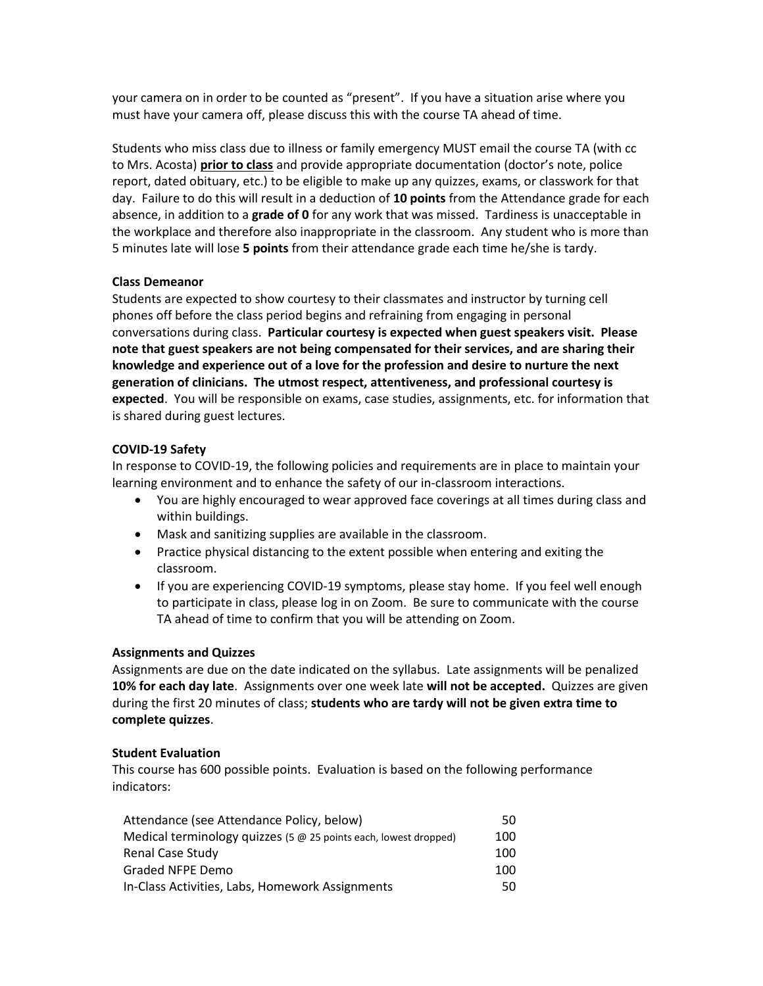your camera on in order to be counted as "present". If you have a situation arise where you must have your camera off, please discuss this with the course TA ahead of time.

Students who miss class due to illness or family emergency MUST email the course TA (with cc to Mrs. Acosta) **prior to class** and provide appropriate documentation (doctor's note, police report, dated obituary, etc.) to be eligible to make up any quizzes, exams, or classwork for that day. Failure to do this will result in a deduction of **10 points** from the Attendance grade for each absence, in addition to a **grade of 0** for any work that was missed. Tardiness is unacceptable in the workplace and therefore also inappropriate in the classroom. Any student who is more than 5 minutes late will lose **5 points** from their attendance grade each time he/she is tardy.

#### **Class Demeanor**

Students are expected to show courtesy to their classmates and instructor by turning cell phones off before the class period begins and refraining from engaging in personal conversations during class. **Particular courtesy is expected when guest speakers visit. Please note that guest speakers are not being compensated for their services, and are sharing their knowledge and experience out of a love for the profession and desire to nurture the next generation of clinicians. The utmost respect, attentiveness, and professional courtesy is expected**. You will be responsible on exams, case studies, assignments, etc. for information that is shared during guest lectures.

#### **COVID-19 Safety**

In response to COVID-19, the following policies and requirements are in place to maintain your learning environment and to enhance the safety of our in-classroom interactions.

- You are highly encouraged to wear approved face coverings at all times during class and within buildings.
- Mask and sanitizing supplies are available in the classroom.
- Practice physical distancing to the extent possible when entering and exiting the classroom.
- If you are experiencing COVID-19 symptoms, please stay home. If you feel well enough to participate in class, please log in on Zoom. Be sure to communicate with the course TA ahead of time to confirm that you will be attending on Zoom.

## **Assignments and Quizzes**

Assignments are due on the date indicated on the syllabus. Late assignments will be penalized **10% for each day late**. Assignments over one week late **will not be accepted.** Quizzes are given during the first 20 minutes of class; **students who are tardy will not be given extra time to complete quizzes**.

## **Student Evaluation**

This course has 600 possible points. Evaluation is based on the following performance indicators:

| Attendance (see Attendance Policy, below)                        | 50. |
|------------------------------------------------------------------|-----|
| Medical terminology quizzes (5 @ 25 points each, lowest dropped) | 100 |
| <b>Renal Case Study</b>                                          | 100 |
| Graded NFPE Demo                                                 | 100 |
| In-Class Activities, Labs, Homework Assignments                  | 50. |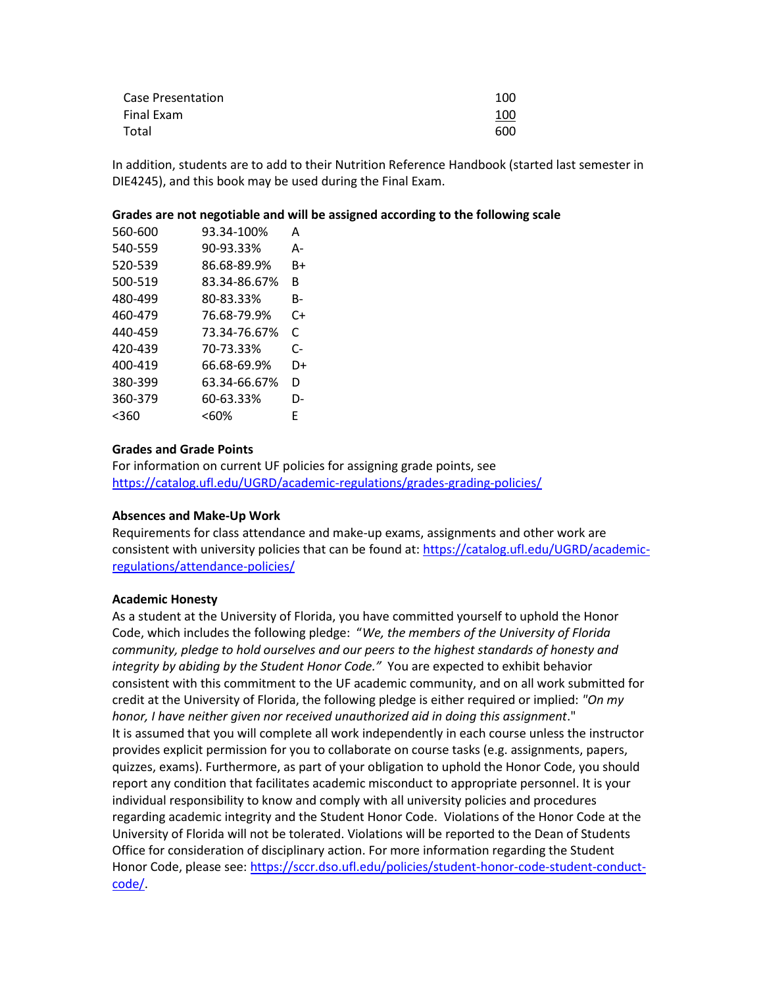| Case Presentation | 100 |
|-------------------|-----|
| Final Exam        | 100 |
| Total             | 600 |

In addition, students are to add to their Nutrition Reference Handbook (started last semester in DIE4245), and this book may be used during the Final Exam.

#### **Grades are not negotiable and will be assigned according to the following scale**

| 560-600 | 93.34-100%   | А  |
|---------|--------------|----|
| 540-559 | 90-93.33%    | А- |
| 520-539 | 86.68-89.9%  | B+ |
| 500-519 | 83.34-86.67% | R  |
| 480-499 | 80-83.33%    | B- |
| 460-479 | 76.68-79.9%  | C+ |
| 440-459 | 73.34-76.67% | C  |
| 420-439 | 70-73.33%    | C- |
| 400-419 | 66.68-69.9%  | D+ |
| 380-399 | 63.34-66.67% | D  |
| 360-379 | 60-63.33%    | D- |
| <360    | <60%         | F  |

#### **Grades and Grade Points**

For information on current UF policies for assigning grade points, see <https://catalog.ufl.edu/UGRD/academic-regulations/grades-grading-policies/>

#### **Absences and Make-Up Work**

Requirements for class attendance and make-up exams, assignments and other work are consistent with university policies that can be found at: [https://catalog.ufl.edu/UGRD/academic](https://catalog.ufl.edu/UGRD/academic-regulations/attendance-policies/)[regulations/attendance-policies/](https://catalog.ufl.edu/UGRD/academic-regulations/attendance-policies/)

#### **Academic Honesty**

As a student at the University of Florida, you have committed yourself to uphold the Honor Code, which includes the following pledge: "*We, the members of the University of Florida community, pledge to hold ourselves and our peers to the highest standards of honesty and integrity by abiding by the Student Honor Code."* You are expected to exhibit behavior consistent with this commitment to the UF academic community, and on all work submitted for credit at the University of Florida, the following pledge is either required or implied: *"On my honor, I have neither given nor received unauthorized aid in doing this assignment*." It is assumed that you will complete all work independently in each course unless the instructor provides explicit permission for you to collaborate on course tasks (e.g. assignments, papers, quizzes, exams). Furthermore, as part of your obligation to uphold the Honor Code, you should report any condition that facilitates academic misconduct to appropriate personnel. It is your individual responsibility to know and comply with all university policies and procedures regarding academic integrity and the Student Honor Code. Violations of the Honor Code at the University of Florida will not be tolerated. Violations will be reported to the Dean of Students Office for consideration of disciplinary action. For more information regarding the Student Honor Code, please see[: https://sccr.dso.ufl.edu/policies/student-honor-code-student-conduct](https://sccr.dso.ufl.edu/policies/student-honor-code-student-conduct-code/)[code/.](https://sccr.dso.ufl.edu/policies/student-honor-code-student-conduct-code/)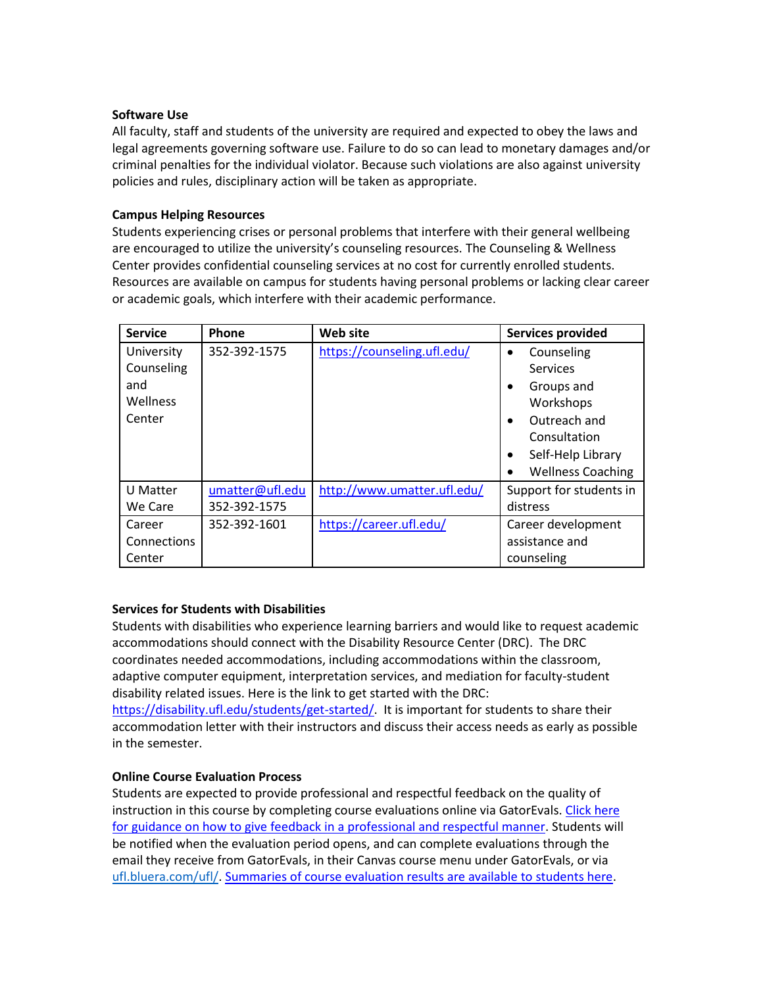#### **Software Use**

All faculty, staff and students of the university are required and expected to obey the laws and legal agreements governing software use. Failure to do so can lead to monetary damages and/or criminal penalties for the individual violator. Because such violations are also against university policies and rules, disciplinary action will be taken as appropriate.

## **Campus Helping Resources**

Students experiencing crises or personal problems that interfere with their general wellbeing are encouraged to utilize the university's counseling resources. The Counseling & Wellness Center provides confidential counseling services at no cost for currently enrolled students. Resources are available on campus for students having personal problems or lacking clear career or academic goals, which interfere with their academic performance.

| <b>Service</b>     | Phone           | <b>Web site</b>             | <b>Services provided</b>       |
|--------------------|-----------------|-----------------------------|--------------------------------|
| University         | 352-392-1575    | https://counseling.ufl.edu/ | Counseling                     |
| Counseling         |                 |                             | Services                       |
| and                |                 |                             | Groups and                     |
| <b>Wellness</b>    |                 |                             | Workshops                      |
| Center             |                 |                             | Outreach and                   |
|                    |                 |                             | Consultation                   |
|                    |                 |                             | Self-Help Library<br>$\bullet$ |
|                    |                 |                             | <b>Wellness Coaching</b>       |
| U Matter           | umatter@ufl.edu | http://www.umatter.ufl.edu/ | Support for students in        |
| We Care            | 352-392-1575    |                             | distress                       |
| Career             | 352-392-1601    | https://career.ufl.edu/     | Career development             |
| <b>Connections</b> |                 |                             | assistance and                 |
| Center             |                 |                             | counseling                     |

## **Services for Students with Disabilities**

Students with disabilities who experience learning barriers and would like to request academic accommodations should connect with the Disability Resource Center (DRC). The DRC coordinates needed accommodations, including accommodations within the classroom, adaptive computer equipment, interpretation services, and mediation for faculty-student disability related issues. Here is the link to get started with the DRC: [https://disability.ufl.edu/students/get-started/.](https://disability.ufl.edu/students/get-started/) It is important for students to share their

accommodation letter with their instructors and discuss their access needs as early as possible in the semester.

## **Online Course Evaluation Process**

Students are expected to provide professional and respectful feedback on the quality of instruction in this course by completing course evaluations online via GatorEvals[. Click here](file:///C:/Users/lilyrlewis/AppData/Local/Microsoft/Windows/INetCache/Content.Outlook/LU96BFUU/gatorevals.aa.ufl.edu/students/)  [for guidance on how to give feedback in a professional and respectful manner.](file:///C:/Users/lilyrlewis/AppData/Local/Microsoft/Windows/INetCache/Content.Outlook/LU96BFUU/gatorevals.aa.ufl.edu/students/) Students will be notified when the evaluation period opens, and can complete evaluations through the email they receive from GatorEvals, in their Canvas course menu under GatorEvals, or via [ufl.bluera.com/ufl/.](https://ufl.bluera.com/ufl/) [Summaries of course evaluation results are available to students here.](https://gatorevals.aa.ufl.edu/public-results/)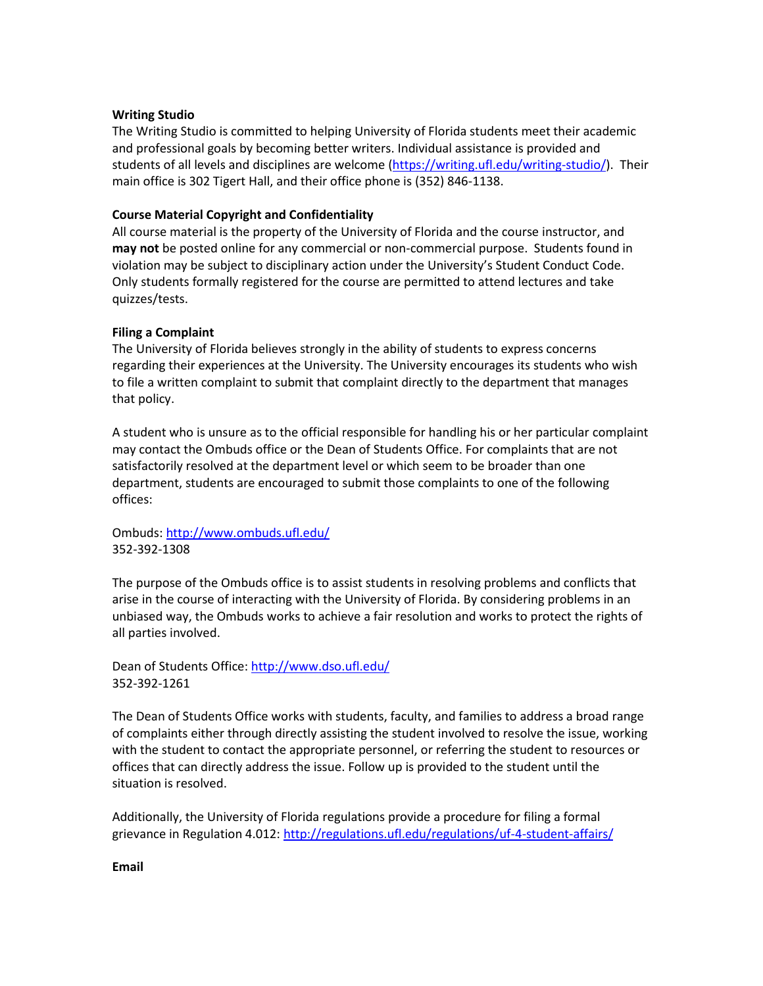#### **Writing Studio**

The Writing Studio is committed to helping University of Florida students meet their academic and professional goals by becoming better writers. Individual assistance is provided and students of all levels and disciplines are welcome [\(https://writing.ufl.edu/writing-studio/\)](https://writing.ufl.edu/writing-studio/). Their main office is 302 Tigert Hall, and their office phone is (352) 846-1138.

## **Course Material Copyright and Confidentiality**

All course material is the property of the University of Florida and the course instructor, and **may not** be posted online for any commercial or non-commercial purpose. Students found in violation may be subject to disciplinary action under the University's Student Conduct Code. Only students formally registered for the course are permitted to attend lectures and take quizzes/tests.

## **Filing a Complaint**

The University of Florida believes strongly in the ability of students to express concerns regarding their experiences at the University. The University encourages its students who wish to file a written complaint to submit that complaint directly to the department that manages that policy.

A student who is unsure as to the official responsible for handling his or her particular complaint may contact the Ombuds office or the Dean of Students Office. For complaints that are not satisfactorily resolved at the department level or which seem to be broader than one department, students are encouraged to submit those complaints to one of the following offices:

Ombuds:<http://www.ombuds.ufl.edu/> 352-392-1308

The purpose of the Ombuds office is to assist students in resolving problems and conflicts that arise in the course of interacting with the University of Florida. By considering problems in an unbiased way, the Ombuds works to achieve a fair resolution and works to protect the rights of all parties involved.

Dean of Students Office[: http://www.dso.ufl.edu/](http://www.dso.ufl.edu/) 352-392-1261

The Dean of Students Office works with students, faculty, and families to address a broad range of complaints either through directly assisting the student involved to resolve the issue, working with the student to contact the appropriate personnel, or referring the student to resources or offices that can directly address the issue. Follow up is provided to the student until the situation is resolved.

Additionally, the University of Florida regulations provide a procedure for filing a formal grievance in Regulation 4.012:<http://regulations.ufl.edu/regulations/uf-4-student-affairs/>

**Email**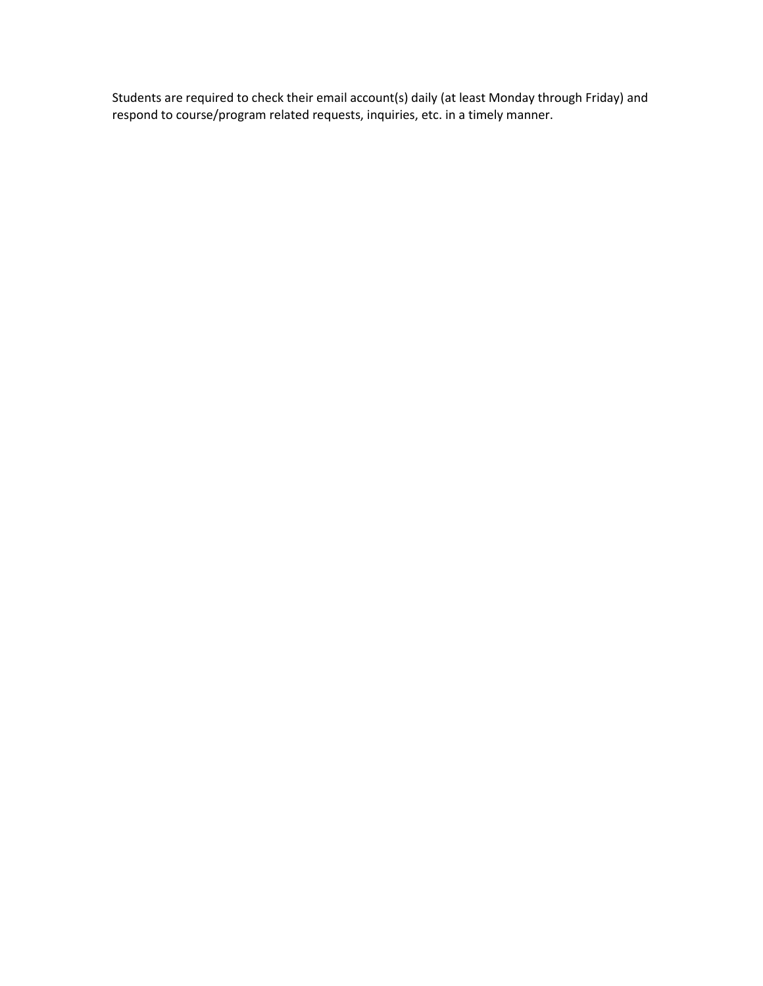Students are required to check their email account(s) daily (at least Monday through Friday) and respond to course/program related requests, inquiries, etc. in a timely manner.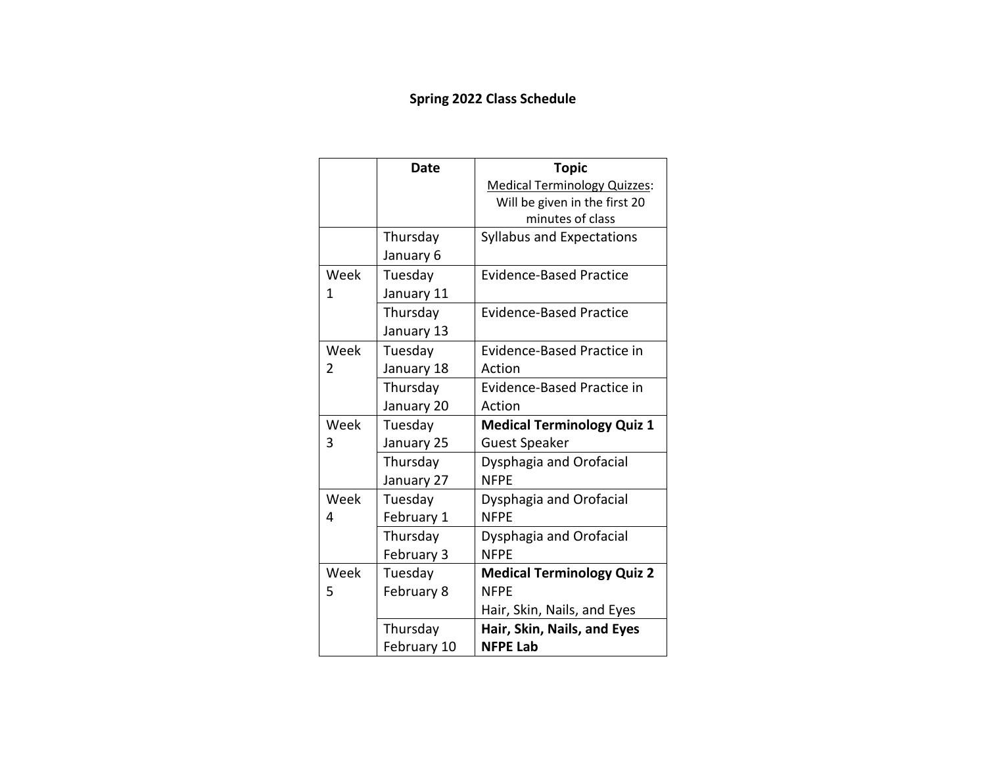# **Spring 2022 Class Schedule**

|                | <b>Date</b> | <b>Topic</b>                        |
|----------------|-------------|-------------------------------------|
|                |             | <b>Medical Terminology Quizzes:</b> |
|                |             | Will be given in the first 20       |
|                |             | minutes of class                    |
|                | Thursday    | <b>Syllabus and Expectations</b>    |
|                | January 6   |                                     |
| Week           | Tuesday     | <b>Evidence-Based Practice</b>      |
| 1              | January 11  |                                     |
|                | Thursday    | Evidence-Based Practice             |
|                | January 13  |                                     |
| Week           | Tuesday     | <b>Evidence-Based Practice in</b>   |
| $\overline{2}$ | January 18  | Action                              |
|                | Thursday    | <b>Evidence-Based Practice in</b>   |
|                | January 20  | Action                              |
| Week           | Tuesday     | <b>Medical Terminology Quiz 1</b>   |
| 3              | January 25  | <b>Guest Speaker</b>                |
|                | Thursday    | Dysphagia and Orofacial             |
|                | January 27  | <b>NFPE</b>                         |
| Week           | Tuesday     | Dysphagia and Orofacial             |
| 4              | February 1  | <b>NFPE</b>                         |
|                | Thursday    | Dysphagia and Orofacial             |
|                | February 3  | <b>NFPE</b>                         |
| Week           | Tuesday     | <b>Medical Terminology Quiz 2</b>   |
| 5              | February 8  | <b>NFPF</b>                         |
|                |             | Hair, Skin, Nails, and Eyes         |
|                | Thursday    | Hair, Skin, Nails, and Eyes         |
|                | February 10 | <b>NFPE Lab</b>                     |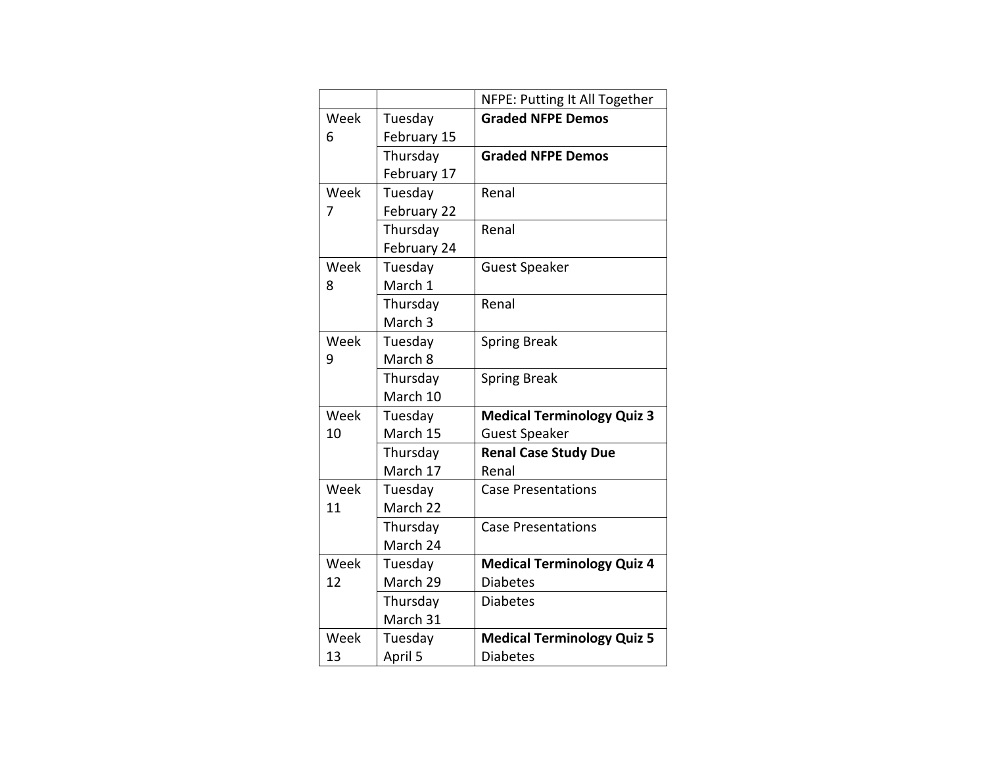|      |                    | NFPE: Putting It All Together     |
|------|--------------------|-----------------------------------|
| Week | Tuesday            | <b>Graded NFPE Demos</b>          |
| 6    | February 15        |                                   |
|      | Thursday           | <b>Graded NFPE Demos</b>          |
|      | February 17        |                                   |
| Week | Tuesday            | Renal                             |
| 7    | February 22        |                                   |
|      | Thursday           | Renal                             |
|      | February 24        |                                   |
| Week | Tuesday            | <b>Guest Speaker</b>              |
| 8    | March 1            |                                   |
|      | Thursday           | Renal                             |
|      | March <sub>3</sub> |                                   |
| Week | Tuesday            | <b>Spring Break</b>               |
| 9    | March 8            |                                   |
|      | Thursday           | <b>Spring Break</b>               |
|      | March 10           |                                   |
| Week | Tuesday            | <b>Medical Terminology Quiz 3</b> |
| 10   | March 15           | <b>Guest Speaker</b>              |
|      | Thursday           | <b>Renal Case Study Due</b>       |
|      | March 17           | Renal                             |
| Week | Tuesday            | <b>Case Presentations</b>         |
| 11   | March 22           |                                   |
|      | Thursday           | <b>Case Presentations</b>         |
|      | March 24           |                                   |
| Week | Tuesday            | <b>Medical Terminology Quiz 4</b> |
| 12   | March 29           | Diabetes                          |
|      | Thursday           | <b>Diabetes</b>                   |
|      | March 31           |                                   |
| Week | Tuesday            | <b>Medical Terminology Quiz 5</b> |
| 13   | April 5            | <b>Diabetes</b>                   |